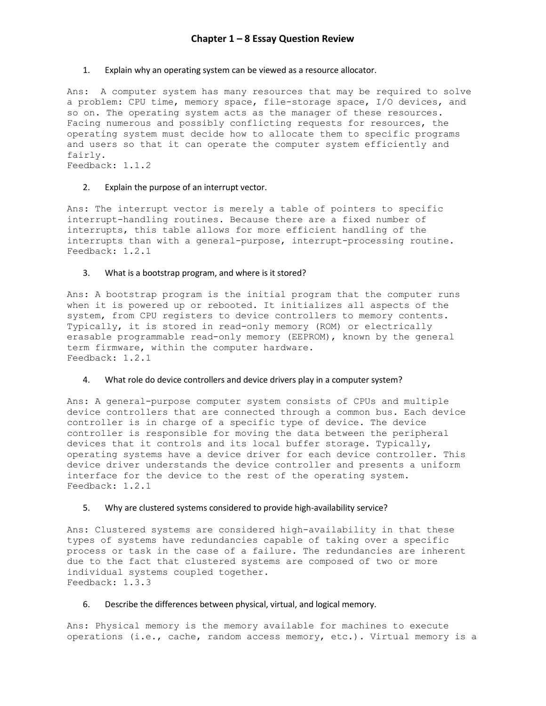## 1. Explain why an operating system can be viewed as a resource allocator.

Ans: A computer system has many resources that may be required to solve a problem: CPU time, memory space, file-storage space, I/O devices, and so on. The operating system acts as the manager of these resources. Facing numerous and possibly conflicting requests for resources, the operating system must decide how to allocate them to specific programs and users so that it can operate the computer system efficiently and fairly.

Feedback: 1.1.2

# 2. Explain the purpose of an interrupt vector.

Ans: The interrupt vector is merely a table of pointers to specific interrupt-handling routines. Because there are a fixed number of interrupts, this table allows for more efficient handling of the interrupts than with a general-purpose, interrupt-processing routine. Feedback: 1.2.1

# 3. What is a bootstrap program, and where is it stored?

Ans: A bootstrap program is the initial program that the computer runs when it is powered up or rebooted. It initializes all aspects of the system, from CPU registers to device controllers to memory contents. Typically, it is stored in read-only memory (ROM) or electrically erasable programmable read-only memory (EEPROM), known by the general term firmware, within the computer hardware. Feedback: 1.2.1

## 4. What role do device controllers and device drivers play in a computer system?

Ans: A general-purpose computer system consists of CPUs and multiple device controllers that are connected through a common bus. Each device controller is in charge of a specific type of device. The device controller is responsible for moving the data between the peripheral devices that it controls and its local buffer storage. Typically, operating systems have a device driver for each device controller. This device driver understands the device controller and presents a uniform interface for the device to the rest of the operating system. Feedback: 1.2.1

## 5. Why are clustered systems considered to provide high-availability service?

Ans: Clustered systems are considered high-availability in that these types of systems have redundancies capable of taking over a specific process or task in the case of a failure. The redundancies are inherent due to the fact that clustered systems are composed of two or more individual systems coupled together. Feedback: 1.3.3

# 6. Describe the differences between physical, virtual, and logical memory.

Ans: Physical memory is the memory available for machines to execute operations (i.e., cache, random access memory, etc.). Virtual memory is a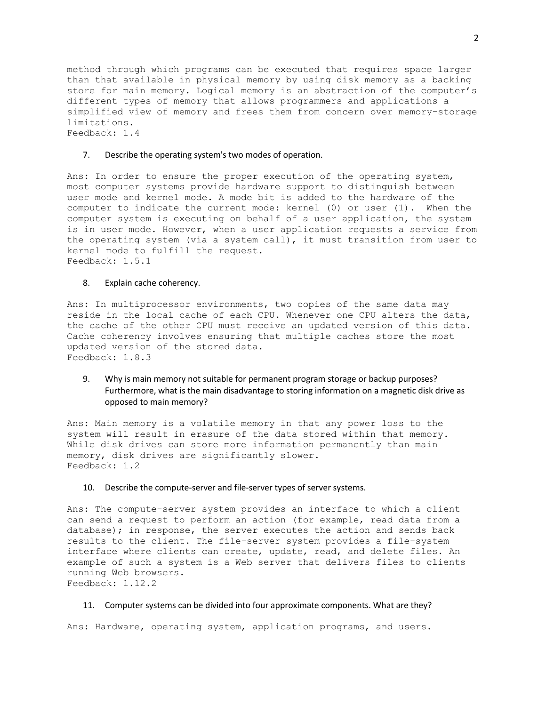method through which programs can be executed that requires space larger than that available in physical memory by using disk memory as a backing store for main memory. Logical memory is an abstraction of the computer's different types of memory that allows programmers and applications a simplified view of memory and frees them from concern over memory-storage limitations. Feedback: 1.4

#### 7. Describe the operating system's two modes of operation.

Ans: In order to ensure the proper execution of the operating system, most computer systems provide hardware support to distinguish between user mode and kernel mode. A mode bit is added to the hardware of the computer to indicate the current mode: kernel (0) or user (1). When the computer system is executing on behalf of a user application, the system is in user mode. However, when a user application requests a service from the operating system (via a system call), it must transition from user to kernel mode to fulfill the request. Feedback: 1.5.1

#### 8. Explain cache coherency.

Ans: In multiprocessor environments, two copies of the same data may reside in the local cache of each CPU. Whenever one CPU alters the data, the cache of the other CPU must receive an updated version of this data. Cache coherency involves ensuring that multiple caches store the most updated version of the stored data. Feedback: 1.8.3

# 9. Why is main memory not suitable for permanent program storage or backup purposes? Furthermore, what is the main disadvantage to storing information on a magnetic disk drive as opposed to main memory?

Ans: Main memory is a volatile memory in that any power loss to the system will result in erasure of the data stored within that memory. While disk drives can store more information permanently than main memory, disk drives are significantly slower. Feedback: 1.2

### 10. Describe the compute-server and file-server types of server systems.

Ans: The compute-server system provides an interface to which a client can send a request to perform an action (for example, read data from a database); in response, the server executes the action and sends back results to the client. The file-server system provides a file-system interface where clients can create, update, read, and delete files. An example of such a system is a Web server that delivers files to clients running Web browsers. Feedback: 1.12.2

### 11. Computer systems can be divided into four approximate components. What are they?

Ans: Hardware, operating system, application programs, and users.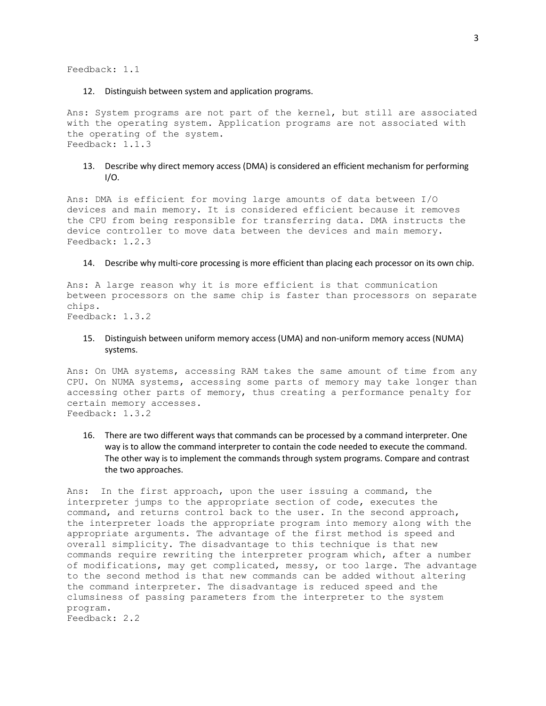Feedback: 1.1

### 12. Distinguish between system and application programs.

Ans: System programs are not part of the kernel, but still are associated with the operating system. Application programs are not associated with the operating of the system. Feedback: 1.1.3

# 13. Describe why direct memory access (DMA) is considered an efficient mechanism for performing I/O.

Ans: DMA is efficient for moving large amounts of data between I/O devices and main memory. It is considered efficient because it removes the CPU from being responsible for transferring data. DMA instructs the device controller to move data between the devices and main memory. Feedback: 1.2.3

#### 14. Describe why multi-core processing is more efficient than placing each processor on its own chip.

Ans: A large reason why it is more efficient is that communication between processors on the same chip is faster than processors on separate chips. Feedback: 1.3.2

# 15. Distinguish between uniform memory access (UMA) and non-uniform memory access (NUMA) systems.

Ans: On UMA systems, accessing RAM takes the same amount of time from any CPU. On NUMA systems, accessing some parts of memory may take longer than accessing other parts of memory, thus creating a performance penalty for certain memory accesses. Feedback: 1.3.2

16. There are two different ways that commands can be processed by a command interpreter. One way is to allow the command interpreter to contain the code needed to execute the command. The other way is to implement the commands through system programs. Compare and contrast the two approaches.

Ans: In the first approach, upon the user issuing a command, the interpreter jumps to the appropriate section of code, executes the command, and returns control back to the user. In the second approach, the interpreter loads the appropriate program into memory along with the appropriate arguments. The advantage of the first method is speed and overall simplicity. The disadvantage to this technique is that new commands require rewriting the interpreter program which, after a number of modifications, may get complicated, messy, or too large. The advantage to the second method is that new commands can be added without altering the command interpreter. The disadvantage is reduced speed and the clumsiness of passing parameters from the interpreter to the system program.

Feedback: 2.2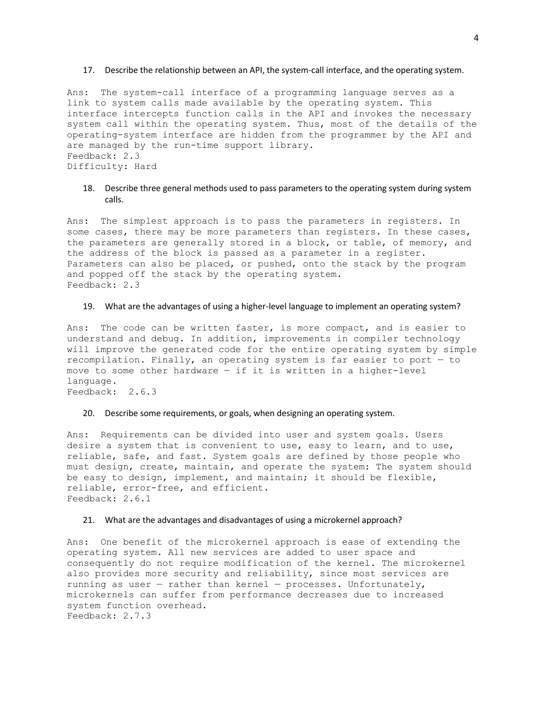#### 17. Describe the relationship between an API, the system-call interface, and the operating system.

Ans: The system-call interface of a programming language serves as a link to system calls made available by the operating system. This interface intercepts function calls in the API and invokes the necessary system call within the operating system. Thus, most of the details of the operating-system interface are hidden from the programmer by the API and are managed by the run-time support library. Feedback: 2.3 Difficulty: Hard

# 18. Describe three general methods used to pass parameters to the operating system during system calls.

Ans: The simplest approach is to pass the parameters in registers. In some cases, there may be more parameters than registers. In these cases, the parameters are generally stored in a block, or table, of memory, and the address of the block is passed as a parameter in a register. Parameters can also be placed, or pushed, onto the stack by the program and popped off the stack by the operating system. Feedback: 2.3

## 19. What are the advantages of using a higher-level language to implement an operating system?

Ans: The code can be written faster, is more compact, and is easier to understand and debug. In addition, improvements in compiler technology will improve the generated code for the entire operating system by simple recompilation. Finally, an operating system is far easier to port — to move to some other hardware — if it is written in a higher-level language. Feedback: 2.6.3

### 20. Describe some requirements, or goals, when designing an operating system.

Ans: Requirements can be divided into user and system goals. Users desire a system that is convenient to use, easy to learn, and to use, reliable, safe, and fast. System goals are defined by those people who must design, create, maintain, and operate the system: The system should be easy to design, implement, and maintain; it should be flexible, reliable, error-free, and efficient. Feedback: 2.6.1

## 21. What are the advantages and disadvantages of using a microkernel approach?

Ans: One benefit of the microkernel approach is ease of extending the operating system. All new services are added to user space and consequently do not require modification of the kernel. The microkernel also provides more security and reliability, since most services are running as user  $-$  rather than kernel  $-$  processes. Unfortunately, microkernels can suffer from performance decreases due to increased system function overhead. Feedback: 2.7.3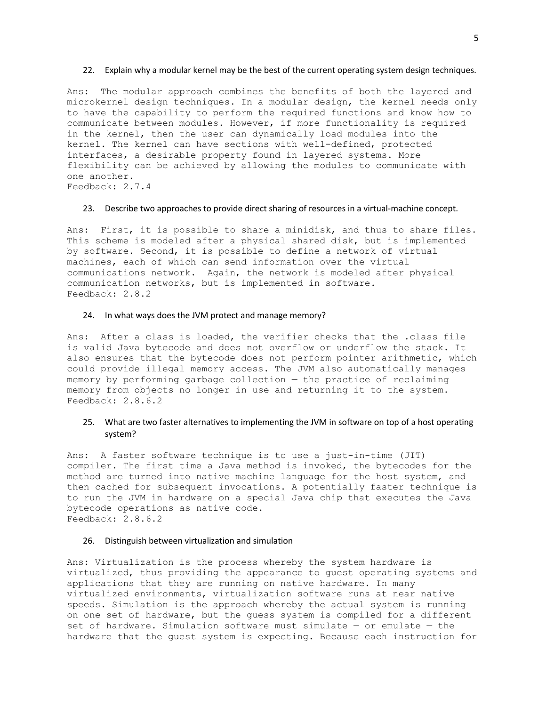#### 22. Explain why a modular kernel may be the best of the current operating system design techniques.

Ans: The modular approach combines the benefits of both the layered and microkernel design techniques. In a modular design, the kernel needs only to have the capability to perform the required functions and know how to communicate between modules. However, if more functionality is required in the kernel, then the user can dynamically load modules into the kernel. The kernel can have sections with well-defined, protected interfaces, a desirable property found in layered systems. More flexibility can be achieved by allowing the modules to communicate with one another. Feedback: 2.7.4

### 23. Describe two approaches to provide direct sharing of resources in a virtual-machine concept.

Ans: First, it is possible to share a minidisk, and thus to share files. This scheme is modeled after a physical shared disk, but is implemented by software. Second, it is possible to define a network of virtual machines, each of which can send information over the virtual communications network. Again, the network is modeled after physical communication networks, but is implemented in software. Feedback: 2.8.2

### 24. In what ways does the JVM protect and manage memory?

Ans: After a class is loaded, the verifier checks that the .class file is valid Java bytecode and does not overflow or underflow the stack. It also ensures that the bytecode does not perform pointer arithmetic, which could provide illegal memory access. The JVM also automatically manages memory by performing garbage collection — the practice of reclaiming memory from objects no longer in use and returning it to the system. Feedback: 2.8.6.2

# 25. What are two faster alternatives to implementing the JVM in software on top of a host operating system?

Ans: A faster software technique is to use a just-in-time (JIT) compiler. The first time a Java method is invoked, the bytecodes for the method are turned into native machine language for the host system, and then cached for subsequent invocations. A potentially faster technique is to run the JVM in hardware on a special Java chip that executes the Java bytecode operations as native code. Feedback: 2.8.6.2

#### 26. Distinguish between virtualization and simulation

Ans: Virtualization is the process whereby the system hardware is virtualized, thus providing the appearance to guest operating systems and applications that they are running on native hardware. In many virtualized environments, virtualization software runs at near native speeds. Simulation is the approach whereby the actual system is running on one set of hardware, but the guess system is compiled for a different set of hardware. Simulation software must simulate — or emulate — the hardware that the guest system is expecting. Because each instruction for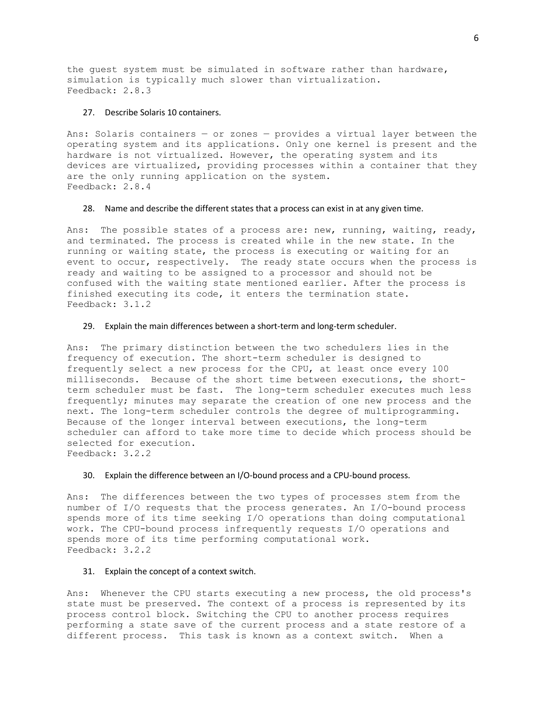the guest system must be simulated in software rather than hardware, simulation is typically much slower than virtualization. Feedback: 2.8.3

## 27. Describe Solaris 10 containers.

Ans: Solaris containers  $-$  or zones  $-$  provides a virtual layer between the operating system and its applications. Only one kernel is present and the hardware is not virtualized. However, the operating system and its devices are virtualized, providing processes within a container that they are the only running application on the system. Feedback: 2.8.4

### 28. Name and describe the different states that a process can exist in at any given time.

Ans: The possible states of a process are: new, running, waiting, ready, and terminated. The process is created while in the new state. In the running or waiting state, the process is executing or waiting for an event to occur, respectively. The ready state occurs when the process is ready and waiting to be assigned to a processor and should not be confused with the waiting state mentioned earlier. After the process is finished executing its code, it enters the termination state. Feedback: 3.1.2

#### 29. Explain the main differences between a short-term and long-term scheduler.

Ans: The primary distinction between the two schedulers lies in the frequency of execution. The short-term scheduler is designed to frequently select a new process for the CPU, at least once every 100 milliseconds. Because of the short time between executions, the shortterm scheduler must be fast. The long-term scheduler executes much less frequently; minutes may separate the creation of one new process and the next. The long-term scheduler controls the degree of multiprogramming. Because of the longer interval between executions, the long-term scheduler can afford to take more time to decide which process should be selected for execution. Feedback: 3.2.2

## 30. Explain the difference between an I/O-bound process and a CPU-bound process.

Ans: The differences between the two types of processes stem from the number of I/O requests that the process generates. An I/O-bound process spends more of its time seeking I/O operations than doing computational work. The CPU-bound process infrequently requests I/O operations and spends more of its time performing computational work. Feedback: 3.2.2

### 31. Explain the concept of a context switch.

Ans: Whenever the CPU starts executing a new process, the old process's state must be preserved. The context of a process is represented by its process control block. Switching the CPU to another process requires performing a state save of the current process and a state restore of a different process. This task is known as a context switch. When a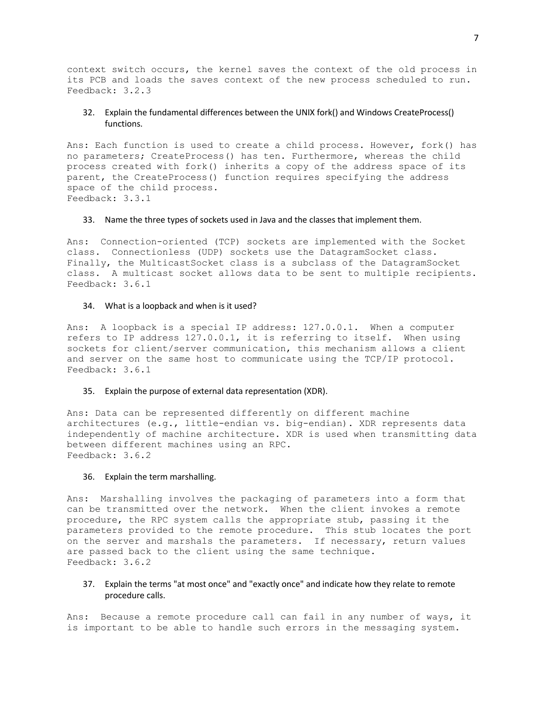context switch occurs, the kernel saves the context of the old process in its PCB and loads the saves context of the new process scheduled to run. Feedback: 3.2.3

# 32. Explain the fundamental differences between the UNIX fork() and Windows CreateProcess() functions.

Ans: Each function is used to create a child process. However, fork() has no parameters; CreateProcess() has ten. Furthermore, whereas the child process created with fork() inherits a copy of the address space of its parent, the CreateProcess() function requires specifying the address space of the child process. Feedback: 3.3.1

## 33. Name the three types of sockets used in Java and the classes that implement them.

Ans: Connection-oriented (TCP) sockets are implemented with the Socket class. Connectionless (UDP) sockets use the DatagramSocket class. Finally, the MulticastSocket class is a subclass of the DatagramSocket class. A multicast socket allows data to be sent to multiple recipients. Feedback: 3.6.1

#### 34. What is a loopback and when is it used?

Ans: A loopback is a special IP address: 127.0.0.1. When a computer refers to IP address 127.0.0.1, it is referring to itself. When using sockets for client/server communication, this mechanism allows a client and server on the same host to communicate using the TCP/IP protocol. Feedback: 3.6.1

## 35. Explain the purpose of external data representation (XDR).

Ans: Data can be represented differently on different machine architectures (e.g., little-endian vs. big-endian). XDR represents data independently of machine architecture. XDR is used when transmitting data between different machines using an RPC. Feedback: 3.6.2

#### 36. Explain the term marshalling.

Ans: Marshalling involves the packaging of parameters into a form that can be transmitted over the network. When the client invokes a remote procedure, the RPC system calls the appropriate stub, passing it the parameters provided to the remote procedure. This stub locates the port on the server and marshals the parameters. If necessary, return values are passed back to the client using the same technique. Feedback: 3.6.2

37. Explain the terms "at most once" and "exactly once" and indicate how they relate to remote procedure calls.

Ans: Because a remote procedure call can fail in any number of ways, it is important to be able to handle such errors in the messaging system.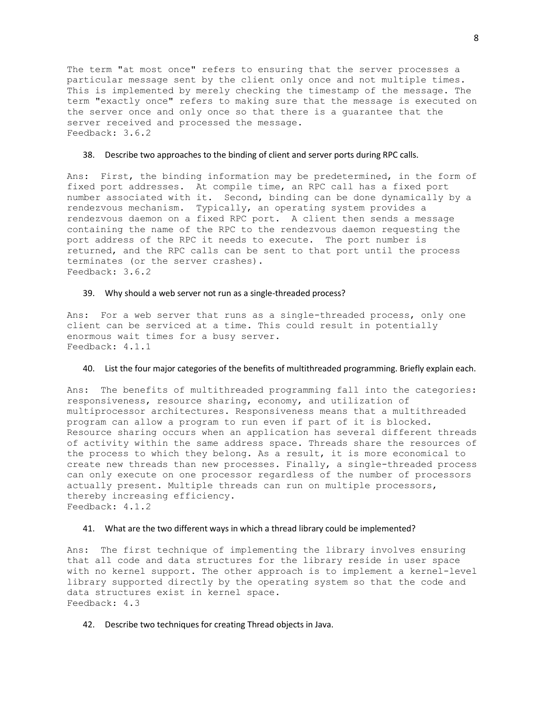The term "at most once" refers to ensuring that the server processes a particular message sent by the client only once and not multiple times. This is implemented by merely checking the timestamp of the message. The term "exactly once" refers to making sure that the message is executed on the server once and only once so that there is a guarantee that the server received and processed the message. Feedback: 3.6.2

### 38. Describe two approaches to the binding of client and server ports during RPC calls.

Ans: First, the binding information may be predetermined, in the form of fixed port addresses. At compile time, an RPC call has a fixed port number associated with it. Second, binding can be done dynamically by a rendezvous mechanism. Typically, an operating system provides a rendezvous daemon on a fixed RPC port. A client then sends a message containing the name of the RPC to the rendezvous daemon requesting the port address of the RPC it needs to execute. The port number is returned, and the RPC calls can be sent to that port until the process terminates (or the server crashes). Feedback: 3.6.2

### 39. Why should a web server not run as a single-threaded process?

Ans: For a web server that runs as a single-threaded process, only one client can be serviced at a time. This could result in potentially enormous wait times for a busy server. Feedback: 4.1.1

#### 40. List the four major categories of the benefits of multithreaded programming. Briefly explain each.

Ans: The benefits of multithreaded programming fall into the categories: responsiveness, resource sharing, economy, and utilization of multiprocessor architectures. Responsiveness means that a multithreaded program can allow a program to run even if part of it is blocked. Resource sharing occurs when an application has several different threads of activity within the same address space. Threads share the resources of the process to which they belong. As a result, it is more economical to create new threads than new processes. Finally, a single-threaded process can only execute on one processor regardless of the number of processors actually present. Multiple threads can run on multiple processors, thereby increasing efficiency. Feedback: 4.1.2

#### 41. What are the two different ways in which a thread library could be implemented?

Ans: The first technique of implementing the library involves ensuring that all code and data structures for the library reside in user space with no kernel support. The other approach is to implement a kernel-level library supported directly by the operating system so that the code and data structures exist in kernel space. Feedback: 4.3

42. Describe two techniques for creating Thread objects in Java.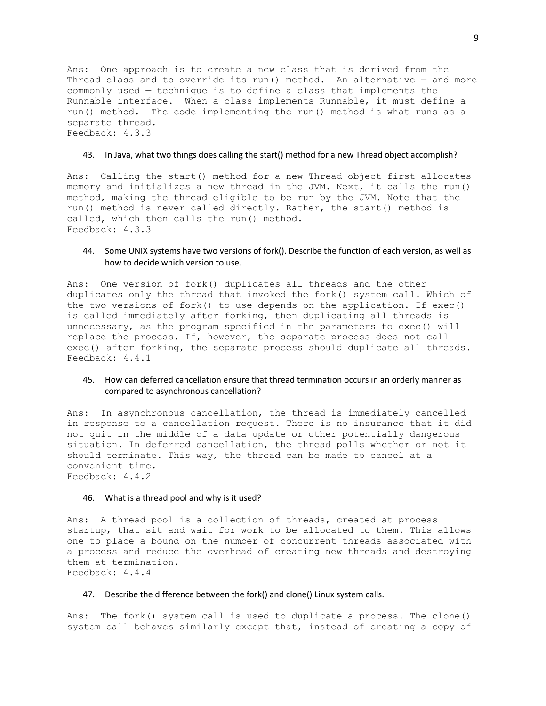Ans: One approach is to create a new class that is derived from the Thread class and to override its run() method. An alternative  $-$  and more commonly used — technique is to define a class that implements the Runnable interface. When a class implements Runnable, it must define a run() method. The code implementing the run() method is what runs as a separate thread. Feedback: 4.3.3

### 43. In Java, what two things does calling the start() method for a new Thread object accomplish?

Ans: Calling the start() method for a new Thread object first allocates memory and initializes a new thread in the JVM. Next, it calls the run() method, making the thread eligible to be run by the JVM. Note that the run() method is never called directly. Rather, the start() method is called, which then calls the run() method. Feedback: 4.3.3

## 44. Some UNIX systems have two versions of fork(). Describe the function of each version, as well as how to decide which version to use.

Ans: One version of fork() duplicates all threads and the other duplicates only the thread that invoked the fork() system call. Which of the two versions of fork() to use depends on the application. If exec() is called immediately after forking, then duplicating all threads is unnecessary, as the program specified in the parameters to exec() will replace the process. If, however, the separate process does not call exec() after forking, the separate process should duplicate all threads. Feedback: 4.4.1

# 45. How can deferred cancellation ensure that thread termination occurs in an orderly manner as compared to asynchronous cancellation?

Ans: In asynchronous cancellation, the thread is immediately cancelled in response to a cancellation request. There is no insurance that it did not quit in the middle of a data update or other potentially dangerous situation. In deferred cancellation, the thread polls whether or not it should terminate. This way, the thread can be made to cancel at a convenient time. Feedback: 4.4.2

#### 46. What is a thread pool and why is it used?

Ans: A thread pool is a collection of threads, created at process startup, that sit and wait for work to be allocated to them. This allows one to place a bound on the number of concurrent threads associated with a process and reduce the overhead of creating new threads and destroying them at termination. Feedback: 4.4.4

#### 47. Describe the difference between the fork() and clone() Linux system calls.

Ans: The fork() system call is used to duplicate a process. The clone() system call behaves similarly except that, instead of creating a copy of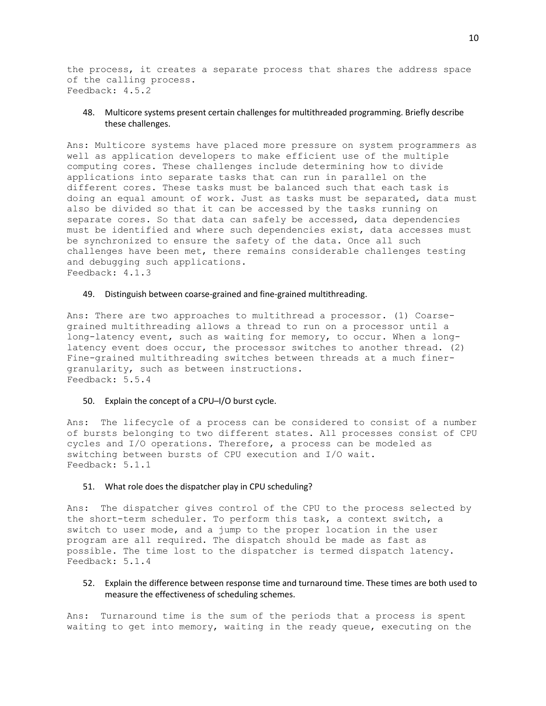the process, it creates a separate process that shares the address space of the calling process. Feedback: 4.5.2

# 48. Multicore systems present certain challenges for multithreaded programming. Briefly describe these challenges.

Ans: Multicore systems have placed more pressure on system programmers as well as application developers to make efficient use of the multiple computing cores. These challenges include determining how to divide applications into separate tasks that can run in parallel on the different cores. These tasks must be balanced such that each task is doing an equal amount of work. Just as tasks must be separated, data must also be divided so that it can be accessed by the tasks running on separate cores. So that data can safely be accessed, data dependencies must be identified and where such dependencies exist, data accesses must be synchronized to ensure the safety of the data. Once all such challenges have been met, there remains considerable challenges testing and debugging such applications. Feedback: 4.1.3

## 49. Distinguish between coarse-grained and fine-grained multithreading.

Ans: There are two approaches to multithread a processor. (1) Coarsegrained multithreading allows a thread to run on a processor until a long-latency event, such as waiting for memory, to occur. When a longlatency event does occur, the processor switches to another thread. (2) Fine-grained multithreading switches between threads at a much finergranularity, such as between instructions. Feedback: 5.5.4

## 50. Explain the concept of a CPU–I/O burst cycle.

Ans: The lifecycle of a process can be considered to consist of a number of bursts belonging to two different states. All processes consist of CPU cycles and I/O operations. Therefore, a process can be modeled as switching between bursts of CPU execution and I/O wait. Feedback: 5.1.1

#### 51. What role does the dispatcher play in CPU scheduling?

Ans: The dispatcher gives control of the CPU to the process selected by the short-term scheduler. To perform this task, a context switch, a switch to user mode, and a jump to the proper location in the user program are all required. The dispatch should be made as fast as possible. The time lost to the dispatcher is termed dispatch latency. Feedback: 5.1.4

52. Explain the difference between response time and turnaround time. These times are both used to measure the effectiveness of scheduling schemes.

Ans: Turnaround time is the sum of the periods that a process is spent waiting to get into memory, waiting in the ready queue, executing on the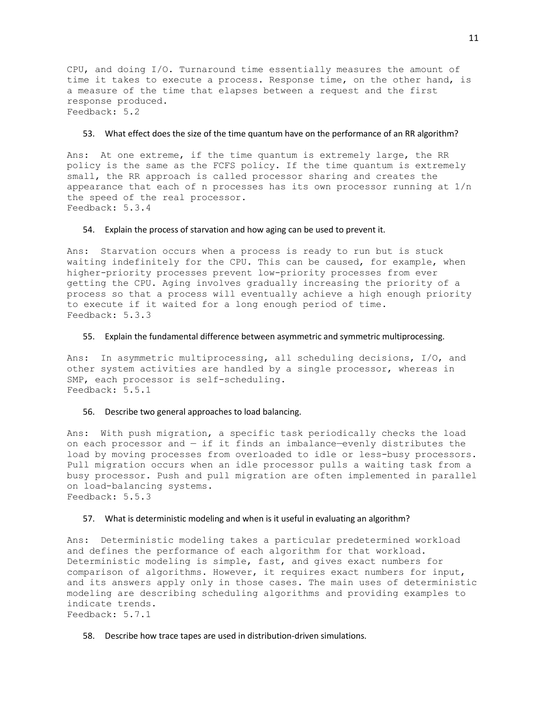CPU, and doing I/O. Turnaround time essentially measures the amount of time it takes to execute a process. Response time, on the other hand, is a measure of the time that elapses between a request and the first response produced. Feedback: 5.2

#### 53. What effect does the size of the time quantum have on the performance of an RR algorithm?

Ans: At one extreme, if the time quantum is extremely large, the RR policy is the same as the FCFS policy. If the time quantum is extremely small, the RR approach is called processor sharing and creates the appearance that each of n processes has its own processor running at 1/n the speed of the real processor. Feedback: 5.3.4

#### 54. Explain the process of starvation and how aging can be used to prevent it.

Ans: Starvation occurs when a process is ready to run but is stuck waiting indefinitely for the CPU. This can be caused, for example, when higher-priority processes prevent low-priority processes from ever getting the CPU. Aging involves gradually increasing the priority of a process so that a process will eventually achieve a high enough priority to execute if it waited for a long enough period of time. Feedback: 5.3.3

### 55. Explain the fundamental difference between asymmetric and symmetric multiprocessing.

Ans: In asymmetric multiprocessing, all scheduling decisions, I/O, and other system activities are handled by a single processor, whereas in SMP, each processor is self-scheduling. Feedback: 5.5.1

### 56. Describe two general approaches to load balancing.

Ans: With push migration, a specific task periodically checks the load on each processor and  $-$  if it finds an imbalance-evenly distributes the load by moving processes from overloaded to idle or less-busy processors. Pull migration occurs when an idle processor pulls a waiting task from a busy processor. Push and pull migration are often implemented in parallel on load-balancing systems. Feedback: 5.5.3

#### 57. What is deterministic modeling and when is it useful in evaluating an algorithm?

Ans: Deterministic modeling takes a particular predetermined workload and defines the performance of each algorithm for that workload. Deterministic modeling is simple, fast, and gives exact numbers for comparison of algorithms. However, it requires exact numbers for input, and its answers apply only in those cases. The main uses of deterministic modeling are describing scheduling algorithms and providing examples to indicate trends. Feedback: 5.7.1

58. Describe how trace tapes are used in distribution-driven simulations.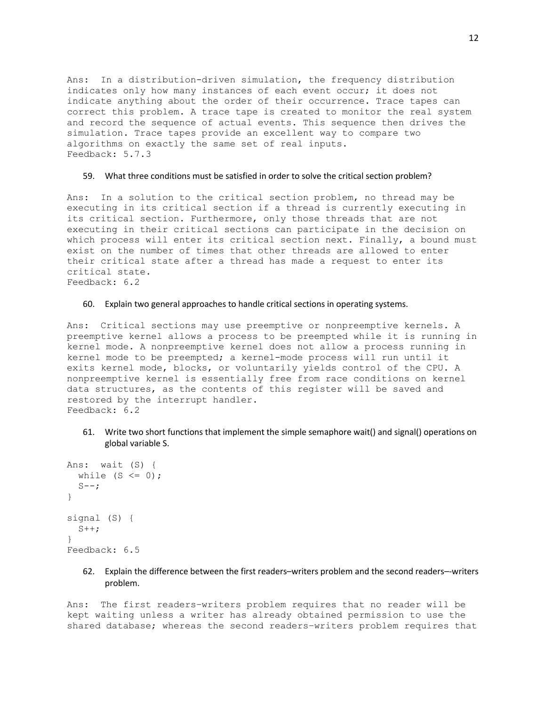Ans: In a distribution-driven simulation, the frequency distribution indicates only how many instances of each event occur; it does not indicate anything about the order of their occurrence. Trace tapes can correct this problem. A trace tape is created to monitor the real system and record the sequence of actual events. This sequence then drives the simulation. Trace tapes provide an excellent way to compare two algorithms on exactly the same set of real inputs. Feedback: 5.7.3

### 59. What three conditions must be satisfied in order to solve the critical section problem?

Ans: In a solution to the critical section problem, no thread may be executing in its critical section if a thread is currently executing in its critical section. Furthermore, only those threads that are not executing in their critical sections can participate in the decision on which process will enter its critical section next. Finally, a bound must exist on the number of times that other threads are allowed to enter their critical state after a thread has made a request to enter its critical state. Feedback: 6.2

# 60. Explain two general approaches to handle critical sections in operating systems.

Ans: Critical sections may use preemptive or nonpreemptive kernels. A preemptive kernel allows a process to be preempted while it is running in kernel mode. A nonpreemptive kernel does not allow a process running in kernel mode to be preempted; a kernel-mode process will run until it exits kernel mode, blocks, or voluntarily yields control of the CPU. A nonpreemptive kernel is essentially free from race conditions on kernel data structures, as the contents of this register will be saved and restored by the interrupt handler. Feedback: 6.2

61. Write two short functions that implement the simple semaphore wait() and signal() operations on global variable S.

```
Ans: wait (S) {
 while (S \le 0);
 S--;}
signal (S) {
 S++;}
Feedback: 6.5
```
# 62. Explain the difference between the first readers–writers problem and the second readers–-writers problem.

Ans: The first readers–writers problem requires that no reader will be kept waiting unless a writer has already obtained permission to use the shared database; whereas the second readers–writers problem requires that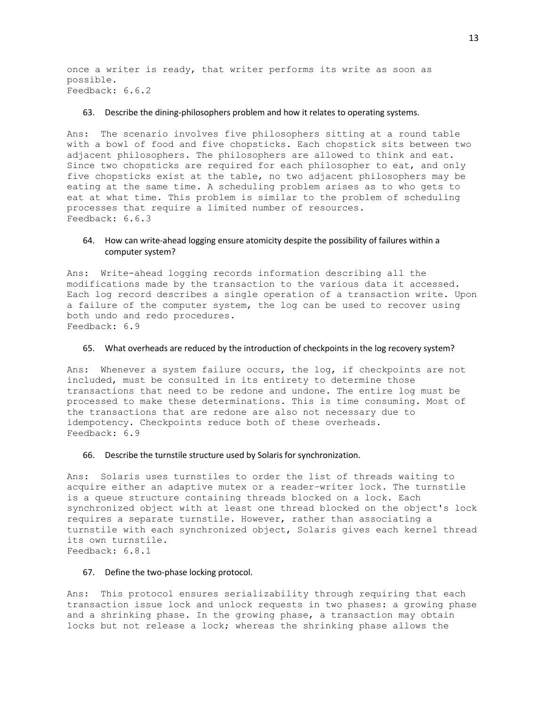once a writer is ready, that writer performs its write as soon as possible. Feedback: 6.6.2

### 63. Describe the dining-philosophers problem and how it relates to operating systems.

Ans: The scenario involves five philosophers sitting at a round table with a bowl of food and five chopsticks. Each chopstick sits between two adjacent philosophers. The philosophers are allowed to think and eat. Since two chopsticks are required for each philosopher to eat, and only five chopsticks exist at the table, no two adjacent philosophers may be eating at the same time. A scheduling problem arises as to who gets to eat at what time. This problem is similar to the problem of scheduling processes that require a limited number of resources. Feedback: 6.6.3

# 64. How can write-ahead logging ensure atomicity despite the possibility of failures within a computer system?

Ans: Write-ahead logging records information describing all the modifications made by the transaction to the various data it accessed. Each log record describes a single operation of a transaction write. Upon a failure of the computer system, the log can be used to recover using both undo and redo procedures. Feedback: 6.9

#### 65. What overheads are reduced by the introduction of checkpoints in the log recovery system?

Ans: Whenever a system failure occurs, the log, if checkpoints are not included, must be consulted in its entirety to determine those transactions that need to be redone and undone. The entire log must be processed to make these determinations. This is time consuming. Most of the transactions that are redone are also not necessary due to idempotency. Checkpoints reduce both of these overheads. Feedback: 6.9

## 66. Describe the turnstile structure used by Solaris for synchronization.

Ans: Solaris uses turnstiles to order the list of threads waiting to acquire either an adaptive mutex or a reader–writer lock. The turnstile is a queue structure containing threads blocked on a lock. Each synchronized object with at least one thread blocked on the object's lock requires a separate turnstile. However, rather than associating a turnstile with each synchronized object, Solaris gives each kernel thread its own turnstile. Feedback: 6.8.1

### 67. Define the two-phase locking protocol.

Ans: This protocol ensures serializability through requiring that each transaction issue lock and unlock requests in two phases: a growing phase and a shrinking phase. In the growing phase, a transaction may obtain locks but not release a lock; whereas the shrinking phase allows the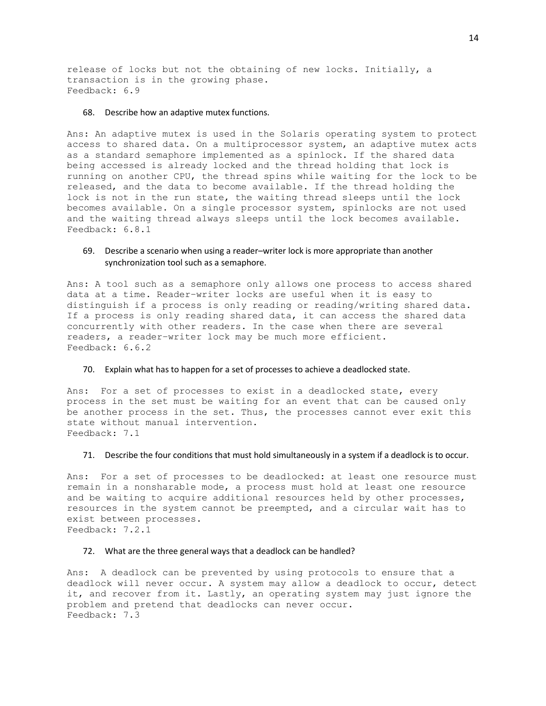release of locks but not the obtaining of new locks. Initially, a transaction is in the growing phase. Feedback: 6.9

### 68. Describe how an adaptive mutex functions.

Ans: An adaptive mutex is used in the Solaris operating system to protect access to shared data. On a multiprocessor system, an adaptive mutex acts as a standard semaphore implemented as a spinlock. If the shared data being accessed is already locked and the thread holding that lock is running on another CPU, the thread spins while waiting for the lock to be released, and the data to become available. If the thread holding the lock is not in the run state, the waiting thread sleeps until the lock becomes available. On a single processor system, spinlocks are not used and the waiting thread always sleeps until the lock becomes available. Feedback: 6.8.1

# 69. Describe a scenario when using a reader–writer lock is more appropriate than another synchronization tool such as a semaphore.

Ans: A tool such as a semaphore only allows one process to access shared data at a time. Reader–writer locks are useful when it is easy to distinguish if a process is only reading or reading/writing shared data. If a process is only reading shared data, it can access the shared data concurrently with other readers. In the case when there are several readers, a reader–writer lock may be much more efficient. Feedback: 6.6.2

### 70. Explain what has to happen for a set of processes to achieve a deadlocked state.

Ans: For a set of processes to exist in a deadlocked state, every process in the set must be waiting for an event that can be caused only be another process in the set. Thus, the processes cannot ever exit this state without manual intervention. Feedback: 7.1

## 71. Describe the four conditions that must hold simultaneously in a system if a deadlock is to occur.

Ans: For a set of processes to be deadlocked: at least one resource must remain in a nonsharable mode, a process must hold at least one resource and be waiting to acquire additional resources held by other processes, resources in the system cannot be preempted, and a circular wait has to exist between processes. Feedback: 7.2.1

#### 72. What are the three general ways that a deadlock can be handled?

Ans: A deadlock can be prevented by using protocols to ensure that a deadlock will never occur. A system may allow a deadlock to occur, detect it, and recover from it. Lastly, an operating system may just ignore the problem and pretend that deadlocks can never occur. Feedback: 7.3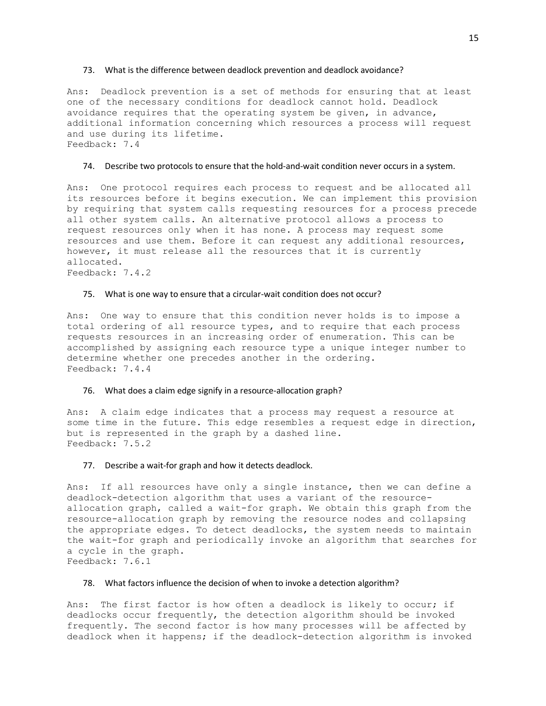#### 73. What is the difference between deadlock prevention and deadlock avoidance?

Ans: Deadlock prevention is a set of methods for ensuring that at least one of the necessary conditions for deadlock cannot hold. Deadlock avoidance requires that the operating system be given, in advance, additional information concerning which resources a process will request and use during its lifetime. Feedback: 7.4

### 74. Describe two protocols to ensure that the hold-and-wait condition never occurs in a system.

Ans: One protocol requires each process to request and be allocated all its resources before it begins execution. We can implement this provision by requiring that system calls requesting resources for a process precede all other system calls. An alternative protocol allows a process to request resources only when it has none. A process may request some resources and use them. Before it can request any additional resources, however, it must release all the resources that it is currently allocated. Feedback: 7.4.2

### 75. What is one way to ensure that a circular-wait condition does not occur?

Ans: One way to ensure that this condition never holds is to impose a total ordering of all resource types, and to require that each process requests resources in an increasing order of enumeration. This can be accomplished by assigning each resource type a unique integer number to determine whether one precedes another in the ordering. Feedback: 7.4.4

### 76. What does a claim edge signify in a resource-allocation graph?

Ans: A claim edge indicates that a process may request a resource at some time in the future. This edge resembles a request edge in direction, but is represented in the graph by a dashed line. Feedback: 7.5.2

#### 77. Describe a wait-for graph and how it detects deadlock.

Ans: If all resources have only a single instance, then we can define a deadlock-detection algorithm that uses a variant of the resourceallocation graph, called a wait-for graph. We obtain this graph from the resource-allocation graph by removing the resource nodes and collapsing the appropriate edges. To detect deadlocks, the system needs to maintain the wait-for graph and periodically invoke an algorithm that searches for a cycle in the graph. Feedback: 7.6.1

### 78. What factors influence the decision of when to invoke a detection algorithm?

Ans: The first factor is how often a deadlock is likely to occur; if deadlocks occur frequently, the detection algorithm should be invoked frequently. The second factor is how many processes will be affected by deadlock when it happens; if the deadlock-detection algorithm is invoked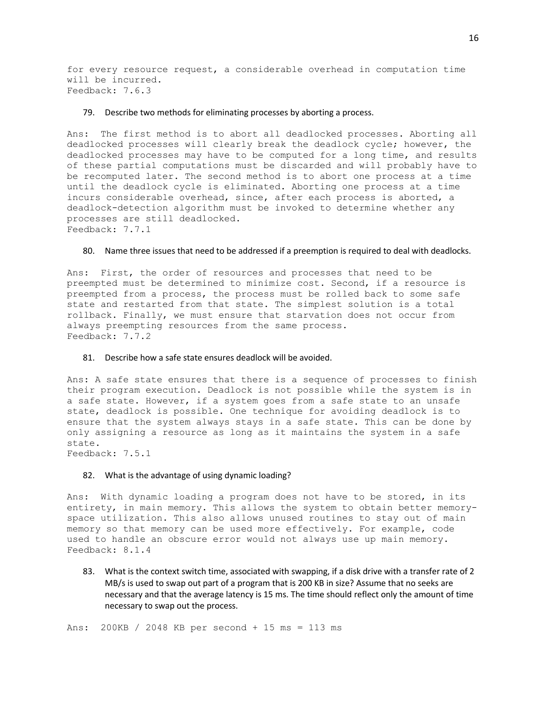for every resource request, a considerable overhead in computation time will be incurred. Feedback: 7.6.3

### 79. Describe two methods for eliminating processes by aborting a process.

Ans: The first method is to abort all deadlocked processes. Aborting all deadlocked processes will clearly break the deadlock cycle; however, the deadlocked processes may have to be computed for a long time, and results of these partial computations must be discarded and will probably have to be recomputed later. The second method is to abort one process at a time until the deadlock cycle is eliminated. Aborting one process at a time incurs considerable overhead, since, after each process is aborted, a deadlock-detection algorithm must be invoked to determine whether any processes are still deadlocked. Feedback: 7.7.1

#### 80. Name three issues that need to be addressed if a preemption is required to deal with deadlocks.

Ans: First, the order of resources and processes that need to be preempted must be determined to minimize cost. Second, if a resource is preempted from a process, the process must be rolled back to some safe state and restarted from that state. The simplest solution is a total rollback. Finally, we must ensure that starvation does not occur from always preempting resources from the same process. Feedback: 7.7.2

# 81. Describe how a safe state ensures deadlock will be avoided.

Ans: A safe state ensures that there is a sequence of processes to finish their program execution. Deadlock is not possible while the system is in a safe state. However, if a system goes from a safe state to an unsafe state, deadlock is possible. One technique for avoiding deadlock is to ensure that the system always stays in a safe state. This can be done by only assigning a resource as long as it maintains the system in a safe state. Feedback: 7.5.1

### 82. What is the advantage of using dynamic loading?

Ans: With dynamic loading a program does not have to be stored, in its entirety, in main memory. This allows the system to obtain better memoryspace utilization. This also allows unused routines to stay out of main memory so that memory can be used more effectively. For example, code used to handle an obscure error would not always use up main memory. Feedback: 8.1.4

83. What is the context switch time, associated with swapping, if a disk drive with a transfer rate of 2 MB/s is used to swap out part of a program that is 200 KB in size? Assume that no seeks are necessary and that the average latency is 15 ms. The time should reflect only the amount of time necessary to swap out the process.

Ans: 200KB / 2048 KB per second + 15 ms = 113 ms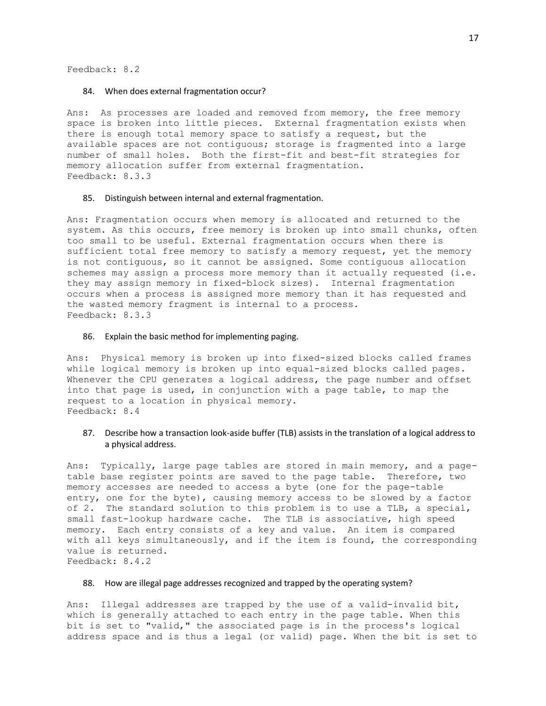Feedback: 8.2

#### 84. When does external fragmentation occur?

Ans: As processes are loaded and removed from memory, the free memory space is broken into little pieces. External fragmentation exists when there is enough total memory space to satisfy a request, but the available spaces are not contiguous; storage is fragmented into a large number of small holes. Both the first-fit and best-fit strategies for memory allocation suffer from external fragmentation. Feedback: 8.3.3

### 85. Distinguish between internal and external fragmentation.

Ans: Fragmentation occurs when memory is allocated and returned to the system. As this occurs, free memory is broken up into small chunks, often too small to be useful. External fragmentation occurs when there is sufficient total free memory to satisfy a memory request, yet the memory is not contiguous, so it cannot be assigned. Some contiguous allocation schemes may assign a process more memory than it actually requested (i.e. they may assign memory in fixed-block sizes). Internal fragmentation occurs when a process is assigned more memory than it has requested and the wasted memory fragment is internal to a process. Feedback: 8.3.3

### 86. Explain the basic method for implementing paging.

Ans: Physical memory is broken up into fixed-sized blocks called frames while logical memory is broken up into equal-sized blocks called pages. Whenever the CPU generates a logical address, the page number and offset into that page is used, in conjunction with a page table, to map the request to a location in physical memory. Feedback: 8.4

## 87. Describe how a transaction look-aside buffer (TLB) assists in the translation of a logical address to a physical address.

Ans: Typically, large page tables are stored in main memory, and a pagetable base register points are saved to the page table. Therefore, two memory accesses are needed to access a byte (one for the page-table entry, one for the byte), causing memory access to be slowed by a factor of 2. The standard solution to this problem is to use a TLB, a special, small fast-lookup hardware cache. The TLB is associative, high speed memory. Each entry consists of a key and value. An item is compared with all keys simultaneously, and if the item is found, the corresponding value is returned. Feedback: 8.4.2

### 88. How are illegal page addresses recognized and trapped by the operating system?

Ans: Illegal addresses are trapped by the use of a valid-invalid bit, which is generally attached to each entry in the page table. When this bit is set to "valid," the associated page is in the process's logical address space and is thus a legal (or valid) page. When the bit is set to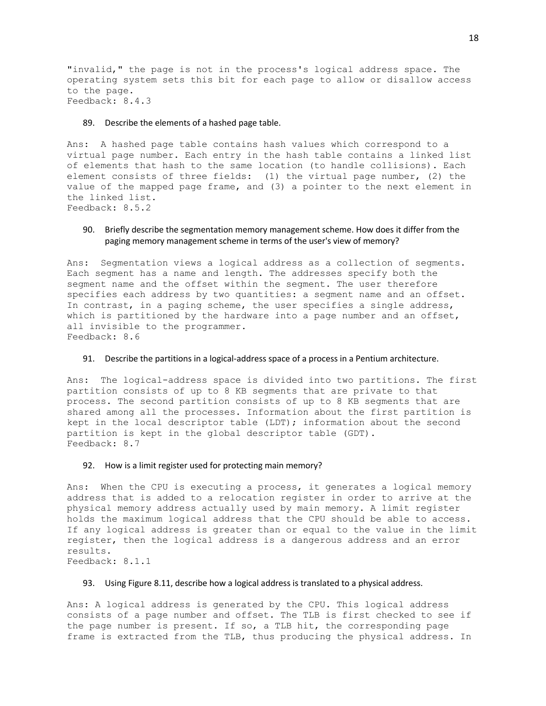"invalid," the page is not in the process's logical address space. The operating system sets this bit for each page to allow or disallow access to the page. Feedback: 8.4.3

## 89. Describe the elements of a hashed page table.

Ans: A hashed page table contains hash values which correspond to a virtual page number. Each entry in the hash table contains a linked list of elements that hash to the same location (to handle collisions). Each element consists of three fields: (1) the virtual page number, (2) the value of the mapped page frame, and (3) a pointer to the next element in the linked list. Feedback: 8.5.2

## 90. Briefly describe the segmentation memory management scheme. How does it differ from the paging memory management scheme in terms of the user's view of memory?

Ans: Segmentation views a logical address as a collection of segments. Each segment has a name and length. The addresses specify both the segment name and the offset within the segment. The user therefore specifies each address by two quantities: a segment name and an offset. In contrast, in a paging scheme, the user specifies a single address, which is partitioned by the hardware into a page number and an offset, all invisible to the programmer. Feedback: 8.6

## 91. Describe the partitions in a logical-address space of a process in a Pentium architecture.

Ans: The logical-address space is divided into two partitions. The first partition consists of up to 8 KB segments that are private to that process. The second partition consists of up to 8 KB segments that are shared among all the processes. Information about the first partition is kept in the local descriptor table (LDT); information about the second partition is kept in the global descriptor table (GDT). Feedback: 8.7

## 92. How is a limit register used for protecting main memory?

Ans: When the CPU is executing a process, it generates a logical memory address that is added to a relocation register in order to arrive at the physical memory address actually used by main memory. A limit register holds the maximum logical address that the CPU should be able to access. If any logical address is greater than or equal to the value in the limit register, then the logical address is a dangerous address and an error results. Feedback: 8.1.1

### 93. Using Figure 8.11, describe how a logical address is translated to a physical address.

Ans: A logical address is generated by the CPU. This logical address consists of a page number and offset. The TLB is first checked to see if the page number is present. If so, a TLB hit, the corresponding page frame is extracted from the TLB, thus producing the physical address. In